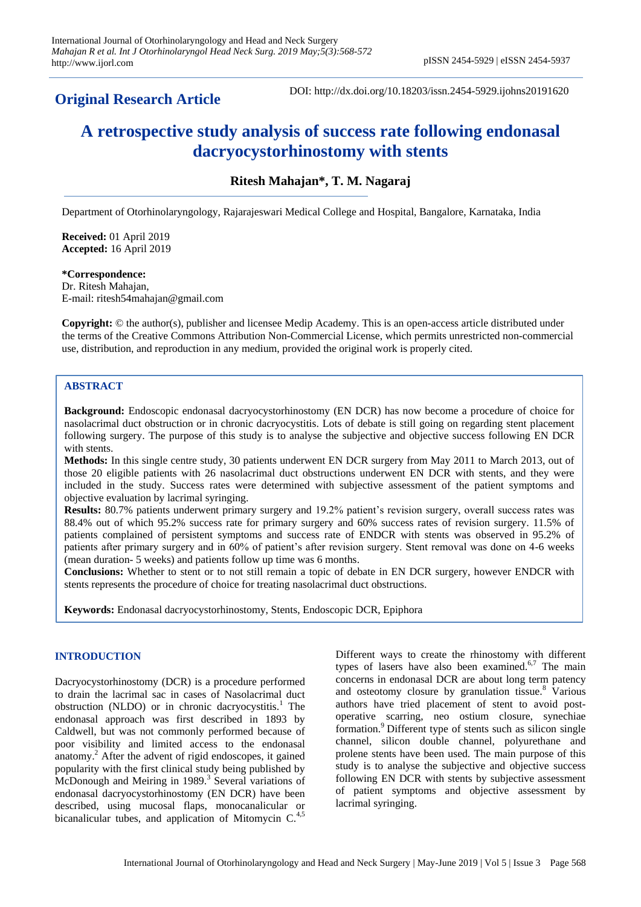# **Original Research Article**

DOI: http://dx.doi.org/10.18203/issn.2454-5929.ijohns20191620

# **A retrospective study analysis of success rate following endonasal dacryocystorhinostomy with stents**

**Ritesh Mahajan\*, T. M. Nagaraj**

Department of Otorhinolaryngology, Rajarajeswari Medical College and Hospital, Bangalore, Karnataka, India

**Received:** 01 April 2019 **Accepted:** 16 April 2019

**\*Correspondence:** Dr. Ritesh Mahajan, E-mail: ritesh54mahajan@gmail.com

**Copyright:** © the author(s), publisher and licensee Medip Academy. This is an open-access article distributed under the terms of the Creative Commons Attribution Non-Commercial License, which permits unrestricted non-commercial use, distribution, and reproduction in any medium, provided the original work is properly cited.

# **ABSTRACT**

**Background:** Endoscopic endonasal dacryocystorhinostomy (EN DCR) has now become a procedure of choice for nasolacrimal duct obstruction or in chronic dacryocystitis. Lots of debate is still going on regarding stent placement following surgery. The purpose of this study is to analyse the subjective and objective success following EN DCR with stents.

**Methods:** In this single centre study, 30 patients underwent EN DCR surgery from May 2011 to March 2013, out of those 20 eligible patients with 26 nasolacrimal duct obstructions underwent EN DCR with stents, and they were included in the study. Success rates were determined with subjective assessment of the patient symptoms and objective evaluation by lacrimal syringing.

**Results:** 80.7% patients underwent primary surgery and 19.2% patient's revision surgery, overall success rates was 88.4% out of which 95.2% success rate for primary surgery and 60% success rates of revision surgery. 11.5% of patients complained of persistent symptoms and success rate of ENDCR with stents was observed in 95.2% of patients after primary surgery and in 60% of patient's after revision surgery. Stent removal was done on 4-6 weeks (mean duration- 5 weeks) and patients follow up time was 6 months.

**Conclusions:** Whether to stent or to not still remain a topic of debate in EN DCR surgery, however ENDCR with stents represents the procedure of choice for treating nasolacrimal duct obstructions.

**Keywords:** Endonasal dacryocystorhinostomy, Stents, Endoscopic DCR, Epiphora

# **INTRODUCTION**

Dacryocystorhinostomy (DCR) is a procedure performed to drain the lacrimal sac in cases of Nasolacrimal duct obstruction (NLDO) or in chronic dacryocystitis.<sup>1</sup> The endonasal approach was first described in 1893 by Caldwell, but was not commonly performed because of poor visibility and limited access to the endonasal anatomy.<sup>2</sup> After the advent of rigid endoscopes, it gained popularity with the first clinical study being published by McDonough and Meiring in 1989.<sup>3</sup> Several variations of endonasal dacryocystorhinostomy (EN DCR) have been described, using mucosal flaps, monocanalicular or bicanalicular tubes, and application of Mitomycin  $C<sub>1,5</sub>$ 

Different ways to create the rhinostomy with different types of lasers have also been examined. $6,7$  The main concerns in endonasal DCR are about long term patency and osteotomy closure by granulation tissue. $8$  Various authors have tried placement of stent to avoid postoperative scarring, neo ostium closure, synechiae formation.<sup>9</sup> Different type of stents such as silicon single channel, silicon double channel, polyurethane and prolene stents have been used. The main purpose of this study is to analyse the subjective and objective success following EN DCR with stents by subjective assessment of patient symptoms and objective assessment by lacrimal syringing.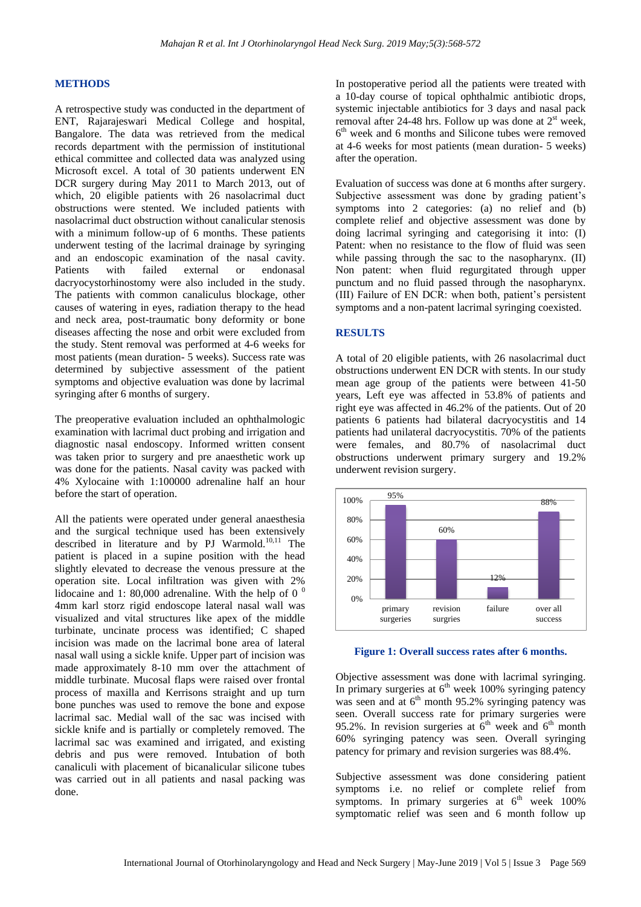## **METHODS**

A retrospective study was conducted in the department of ENT, Rajarajeswari Medical College and hospital, Bangalore. The data was retrieved from the medical records department with the permission of institutional ethical committee and collected data was analyzed using Microsoft excel. A total of 30 patients underwent EN DCR surgery during May 2011 to March 2013, out of which, 20 eligible patients with 26 nasolacrimal duct obstructions were stented. We included patients with nasolacrimal duct obstruction without canalicular stenosis with a minimum follow-up of 6 months. These patients underwent testing of the lacrimal drainage by syringing and an endoscopic examination of the nasal cavity. Patients with failed external or endonasal dacryocystorhinostomy were also included in the study. The patients with common canaliculus blockage, other causes of watering in eyes, radiation therapy to the head and neck area, post-traumatic bony deformity or bone diseases affecting the nose and orbit were excluded from the study. Stent removal was performed at 4-6 weeks for most patients (mean duration- 5 weeks). Success rate was determined by subjective assessment of the patient symptoms and objective evaluation was done by lacrimal syringing after 6 months of surgery.

The preoperative evaluation included an ophthalmologic examination with lacrimal duct probing and irrigation and diagnostic nasal endoscopy. Informed written consent was taken prior to surgery and pre anaesthetic work up was done for the patients. Nasal cavity was packed with 4% Xylocaine with 1:100000 adrenaline half an hour before the start of operation.

All the patients were operated under general anaesthesia and the surgical technique used has been extensively described in literature and by PJ Warmold.10,11 The patient is placed in a supine position with the head slightly elevated to decrease the venous pressure at the operation site. Local infiltration was given with 2% lidocaine and 1: 80,000 adrenaline. With the help of 0 $^0$ 4mm karl storz rigid endoscope lateral nasal wall was visualized and vital structures like apex of the middle turbinate, uncinate process was identified; C shaped incision was made on the lacrimal bone area of lateral nasal wall using a sickle knife. Upper part of incision was made approximately 8-10 mm over the attachment of middle turbinate. Mucosal flaps were raised over frontal process of maxilla and Kerrisons straight and up turn bone punches was used to remove the bone and expose lacrimal sac. Medial wall of the sac was incised with sickle knife and is partially or completely removed. The lacrimal sac was examined and irrigated, and existing debris and pus were removed. Intubation of both canaliculi with placement of bicanalicular silicone tubes was carried out in all patients and nasal packing was done.

In postoperative period all the patients were treated with a 10-day course of topical ophthalmic antibiotic drops, systemic injectable antibiotics for 3 days and nasal pack removal after 24-48 hrs. Follow up was done at  $2^{st}$  week, 6 th week and 6 months and Silicone tubes were removed at 4-6 weeks for most patients (mean duration- 5 weeks) after the operation.

Evaluation of success was done at 6 months after surgery. Subjective assessment was done by grading patient's symptoms into 2 categories: (a) no relief and (b) complete relief and objective assessment was done by doing lacrimal syringing and categorising it into: (I) Patent: when no resistance to the flow of fluid was seen while passing through the sac to the nasopharynx. (II) Non patent: when fluid regurgitated through upper punctum and no fluid passed through the nasopharynx. (III) Failure of EN DCR: when both, patient's persistent symptoms and a non-patent lacrimal syringing coexisted.

#### **RESULTS**

A total of 20 eligible patients, with 26 nasolacrimal duct obstructions underwent EN DCR with stents. In our study mean age group of the patients were between 41-50 years, Left eye was affected in 53.8% of patients and right eye was affected in 46.2% of the patients. Out of 20 patients 6 patients had bilateral dacryocystitis and 14 patients had unilateral dacryocystitis. 70% of the patients were females, and 80.7% of nasolacrimal duct obstructions underwent primary surgery and 19.2% underwent revision surgery.



**Figure 1: Overall success rates after 6 months.**

Objective assessment was done with lacrimal syringing. In primary surgeries at  $6<sup>th</sup>$  week 100% syringing patency was seen and at  $6<sup>th</sup>$  month 95.2% syringing patency was seen. Overall success rate for primary surgeries were 95.2%. In revision surgeries at  $6<sup>th</sup>$  week and  $6<sup>th</sup>$  month 60% syringing patency was seen. Overall syringing patency for primary and revision surgeries was 88.4%.

Subjective assessment was done considering patient symptoms i.e. no relief or complete relief from symptoms. In primary surgeries at  $6<sup>th</sup>$  week 100% symptomatic relief was seen and 6 month follow up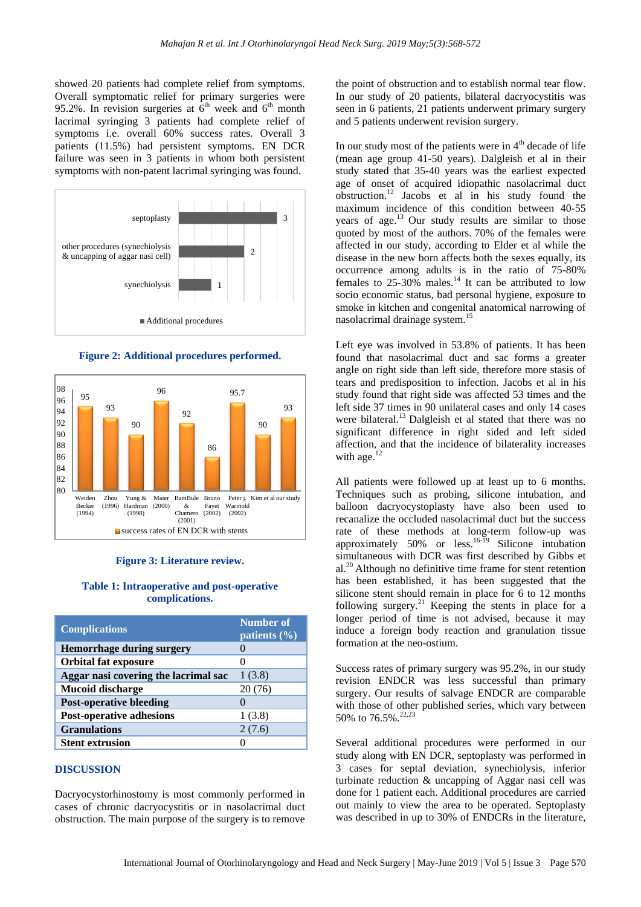showed 20 patients had complete relief from symptoms. Overall symptomatic relief for primary surgeries were 95.2%. In revision surgeries at  $6<sup>th</sup>$  week and  $6<sup>th</sup>$  month lacrimal syringing 3 patients had complete relief of symptoms i.e. overall 60% success rates. Overall 3 patients (11.5%) had persistent symptoms. EN DCR failure was seen in 3 patients in whom both persistent symptoms with non-patent lacrimal syringing was found.



**Figure 2: Additional procedures performed.**



## **Figure 3: Literature review.**

#### **Table 1: Intraoperative and post-operative complications.**

| <b>Complications</b>                 | <b>Number of</b><br>patients $(\% )$ |
|--------------------------------------|--------------------------------------|
| <b>Hemorrhage during surgery</b>     |                                      |
| <b>Orbital fat exposure</b>          |                                      |
| Aggar nasi covering the lacrimal sac | 1(3.8)                               |
| <b>Mucoid discharge</b>              | 20(76)                               |
| <b>Post-operative bleeding</b>       |                                      |
| <b>Post-operative adhesions</b>      | 1(3.8)                               |
| <b>Granulations</b>                  | 2(7.6)                               |
| <b>Stent extrusion</b>               |                                      |

#### **DISCUSSION**

Dacryocystorhinostomy is most commonly performed in cases of chronic dacryocystitis or in nasolacrimal duct obstruction. The main purpose of the surgery is to remove

the point of obstruction and to establish normal tear flow. In our study of 20 patients, bilateral dacryocystitis was seen in 6 patients, 21 patients underwent primary surgery and 5 patients underwent revision surgery.

In our study most of the patients were in  $4<sup>th</sup>$  decade of life (mean age group 41-50 years). Dalgleish et al in their study stated that 35-40 years was the earliest expected age of onset of acquired idiopathic nasolacrimal duct obstruction.<sup>12</sup> Jacobs et al in his study found the maximum incidence of this condition between 40-55 years of age.<sup>13</sup> Our study results are similar to those quoted by most of the authors. 70% of the females were affected in our study, according to Elder et al while the disease in the new born affects both the sexes equally, its occurrence among adults is in the ratio of 75-80% females to  $25-30\%$  males.<sup>14</sup> It can be attributed to low socio economic status, bad personal hygiene, exposure to smoke in kitchen and congenital anatomical narrowing of nasolacrimal drainage system.<sup>15</sup>

Left eye was involved in 53.8% of patients. It has been found that nasolacrimal duct and sac forms a greater angle on right side than left side, therefore more stasis of tears and predisposition to infection. Jacobs et al in his study found that right side was affected 53 times and the left side 37 times in 90 unilateral cases and only 14 cases were bilateral.<sup>13</sup> Dalgleish et al stated that there was no significant difference in right sided and left sided affection, and that the incidence of bilaterality increases with age. $12$ 

All patients were followed up at least up to 6 months. Techniques such as probing, silicone intubation, and balloon dacryocystoplasty have also been used to recanalize the occluded nasolacrimal duct but the success rate of these methods at long-term follow-up was approximately 50% or less.16-19 Silicone intubation simultaneous with DCR was first described by Gibbs et  $al.<sup>20</sup>$  Although no definitive time frame for stent retention has been established, it has been suggested that the silicone stent should remain in place for 6 to 12 months following surgery.<sup>21</sup> Keeping the stents in place for a longer period of time is not advised, because it may induce a foreign body reaction and granulation tissue formation at the neo-ostium.

Success rates of primary surgery was 95.2%, in our study revision ENDCR was less successful than primary surgery. Our results of salvage ENDCR are comparable with those of other published series, which vary between 50% to 76.5%.<sup>22,23</sup>

Several additional procedures were performed in our study along with EN DCR, septoplasty was performed in 3 cases for septal deviation, synechiolysis, inferior turbinate reduction & uncapping of Aggar nasi cell was done for 1 patient each. Additional procedures are carried out mainly to view the area to be operated. Septoplasty was described in up to 30% of ENDCRs in the literature,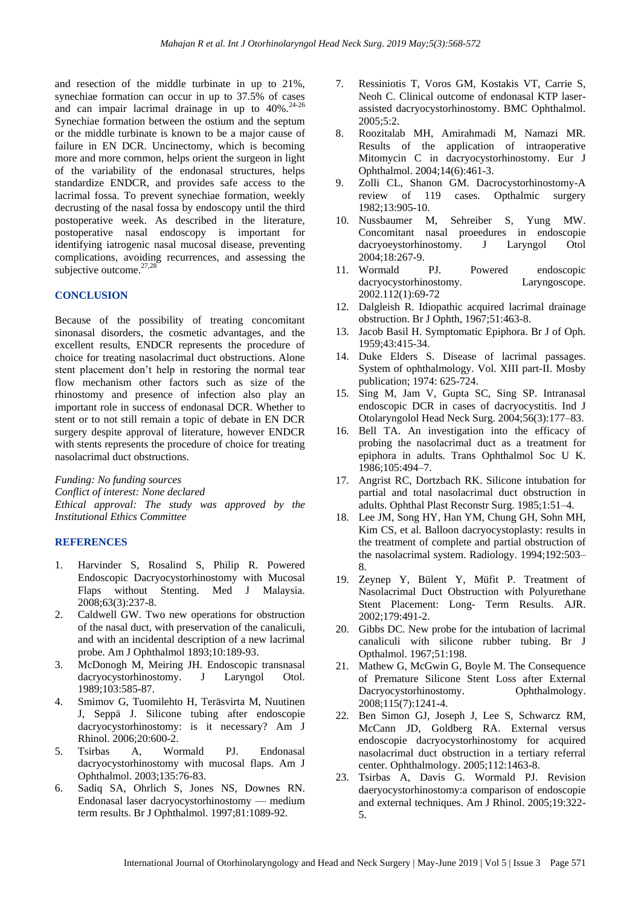and resection of the middle turbinate in up to 21%, synechiae formation can occur in up to 37.5% of cases and can impair lacrimal drainage in up to  $40\%$ .<sup>24-26</sup> Synechiae formation between the ostium and the septum or the middle turbinate is known to be a major cause of failure in EN DCR. Uncinectomy, which is becoming more and more common, helps orient the surgeon in light of the variability of the endonasal structures, helps standardize ENDCR, and provides safe access to the lacrimal fossa. To prevent synechiae formation, weekly decrusting of the nasal fossa by endoscopy until the third postoperative week. As described in the literature, postoperative nasal endoscopy is important for identifying iatrogenic nasal mucosal disease, preventing complications, avoiding recurrences, and assessing the subjective outcome.<sup>27,28</sup>

#### **CONCLUSION**

Because of the possibility of treating concomitant sinonasal disorders, the cosmetic advantages, and the excellent results, ENDCR represents the procedure of choice for treating nasolacrimal duct obstructions. Alone stent placement don't help in restoring the normal tear flow mechanism other factors such as size of the rhinostomy and presence of infection also play an important role in success of endonasal DCR. Whether to stent or to not still remain a topic of debate in EN DCR surgery despite approval of literature, however ENDCR with stents represents the procedure of choice for treating nasolacrimal duct obstructions.

*Funding: No funding sources Conflict of interest: None declared Ethical approval: The study was approved by the Institutional Ethics Committee*

### **REFERENCES**

- 1. Harvinder S, Rosalind S, Philip R. Powered Endoscopic Dacryocystorhinostomy with Mucosal Flaps without Stenting. Med J Malaysia. 2008;63(3):237-8.
- 2. Caldwell GW. Two new operations for obstruction of the nasal duct, with preservation of the canaliculi, and with an incidental description of a new lacrimal probe. Am J Ophthalmol 1893;10:189-93.
- 3. McDonogh M, Meiring JH. Endoscopic transnasal dacryocystorhinostomy. J Laryngol Otol. 1989;103:585-87.
- 4. Smimov G, Tuomilehto H, Teräsvirta M, Nuutinen J, Seppä J. Silicone tubing after endoscopie dacryocystorhinostomy: is it necessary? Am J Rhinol. 2006;20:600-2.
- 5. Tsirbas A, Wormald PJ. Endonasal dacryocystorhinostomy with mucosal flaps. Am J Ophthalmol. 2003;135:76-83.
- 6. Sadiq SA, Ohrlich S, Jones NS, Downes RN. Endonasal laser dacryocystorhinostomy — medium term results. Br J Ophthalmol. 1997;81:1089-92.
- 7. Ressiniotis T, Voros GM, Kostakis VT, Carrie S, Neoh C. Clinical outcome of endonasal KTP laserassisted dacryocystorhinostomy. BMC Ophthalmol. 2005;5:2.
- 8. Roozitalab MH, Amirahmadi M, Namazi MR. Results of the application of intraoperative Mitomycin C in dacryocystorhinostomy. Eur J Ophthalmol. 2004;14(6):461-3.
- 9. Zolli CL, Shanon GM. Dacrocystorhinostomy-A review of 119 cases. Opthalmic surgery 1982;13:905-10.
- 10. Nussbaumer M, Sehreiber S, Yung MW. Concomitant nasal proeedures in endoscopie dacryoeystorhinostomy. J Laryngol Otol 2004;18:267-9.
- 11. Wormald PJ. Powered endoscopic dacryocystorhinostomy. Laryngoscope. 2002.112(1):69-72
- 12. Dalgleish R. Idiopathic acquired lacrimal drainage obstruction. Br J Ophth, 1967;51:463-8.
- 13. Jacob Basil H. Symptomatic Epiphora. Br J of Oph. 1959;43:415-34.
- 14. Duke Elders S. Disease of lacrimal passages. System of ophthalmology. Vol. XIII part-II. Mosby publication; 1974: 625-724.
- 15. Sing M, Jam V, Gupta SC, Sing SP. Intranasal endoscopic DCR in cases of dacryocystitis. Ind J Otolaryngolol Head Neck Surg. 2004;56(3):177–83.
- 16. Bell TA. An investigation into the efficacy of probing the nasolacrimal duct as a treatment for epiphora in adults. Trans Ophthalmol Soc U K. 1986;105:494–7.
- 17. Angrist RC, Dortzbach RK. Silicone intubation for partial and total nasolacrimal duct obstruction in adults. Ophthal Plast Reconstr Surg. 1985;1:51–4.
- 18. Lee JM, Song HY, Han YM, Chung GH, Sohn MH, Kim CS, et al. Balloon dacryocystoplasty: results in the treatment of complete and partial obstruction of the nasolacrimal system. Radiology. 1994;192:503– 8.
- 19. Zeynep Y, Bülent Y, Müfit P. Treatment of Nasolacrimal Duct Obstruction with Polyurethane Stent Placement: Long- Term Results. AJR. 2002;179:491-2.
- 20. Gibbs DC. New probe for the intubation of lacrimal canaliculi with silicone rubber tubing. Br J Opthalmol. 1967;51:198.
- 21. Mathew G, McGwin G, Boyle M. The Consequence of Premature Silicone Stent Loss after External Dacryocystorhinostomy. Ophthalmology. 2008;115(7):1241-4.
- 22. Ben Simon GJ, Joseph J, Lee S, Schwarcz RM, McCann JD, Goldberg RA. External versus endoscopie dacryocystorhinostomy for acquired nasolacrimal duct obstruction in a tertiary referral center. Ophthalmology. 2005;112:1463-8.
- 23. Tsirbas A, Davis G. Wormald PJ. Revision daeryocystorhinostomy:a comparison of endoscopie and external techniques. Am J Rhinol. 2005;19:322- 5.